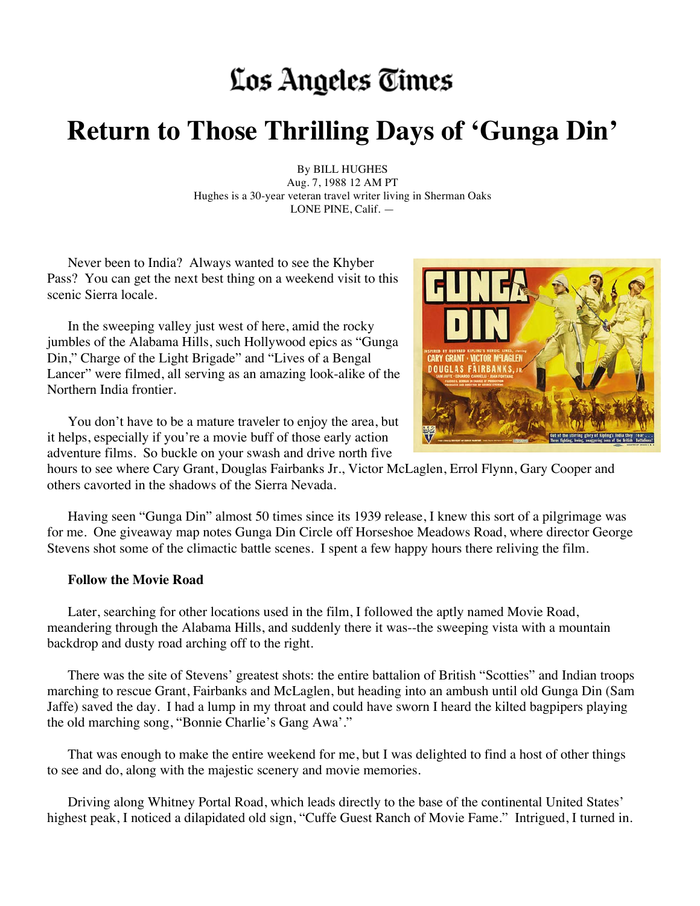## Los Angeles Times

## **Return to Those Thrilling Days of 'Gunga Din'**

By BILL HUGHES Aug. 7, 1988 12 AM PT Hughes is a 30-year veteran travel writer living in Sherman Oaks LONE PINE, Calif. —

Never been to India? Always wanted to see the Khyber Pass? You can get the next best thing on a weekend visit to this scenic Sierra locale.

In the sweeping valley just west of here, amid the rocky jumbles of the Alabama Hills, such Hollywood epics as "Gunga Din," Charge of the Light Brigade" and "Lives of a Bengal Lancer" were filmed, all serving as an amazing look-alike of the Northern India frontier.



You don't have to be a mature traveler to enjoy the area, but it helps, especially if you're a movie buff of those early action adventure films. So buckle on your swash and drive north five

hours to see where Cary Grant, Douglas Fairbanks Jr., Victor McLaglen, Errol Flynn, Gary Cooper and others cavorted in the shadows of the Sierra Nevada.

Having seen "Gunga Din" almost 50 times since its 1939 release, I knew this sort of a pilgrimage was for me. One giveaway map notes Gunga Din Circle off Horseshoe Meadows Road, where director George Stevens shot some of the climactic battle scenes. I spent a few happy hours there reliving the film.

## **Follow the Movie Road**

Later, searching for other locations used in the film, I followed the aptly named Movie Road, meandering through the Alabama Hills, and suddenly there it was--the sweeping vista with a mountain backdrop and dusty road arching off to the right.

There was the site of Stevens' greatest shots: the entire battalion of British "Scotties" and Indian troops marching to rescue Grant, Fairbanks and McLaglen, but heading into an ambush until old Gunga Din (Sam Jaffe) saved the day. I had a lump in my throat and could have sworn I heard the kilted bagpipers playing the old marching song, "Bonnie Charlie's Gang Awa'."

That was enough to make the entire weekend for me, but I was delighted to find a host of other things to see and do, along with the majestic scenery and movie memories.

Driving along Whitney Portal Road, which leads directly to the base of the continental United States' highest peak, I noticed a dilapidated old sign, "Cuffe Guest Ranch of Movie Fame." Intrigued, I turned in.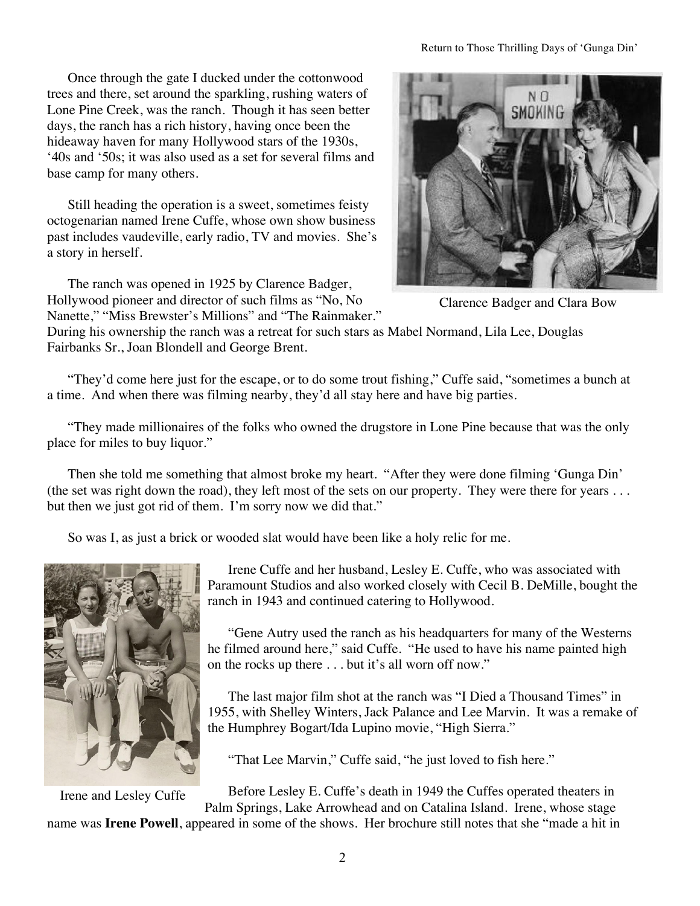Once through the gate I ducked under the cottonwood trees and there, set around the sparkling, rushing waters of Lone Pine Creek, was the ranch. Though it has seen better days, the ranch has a rich history, having once been the hideaway haven for many Hollywood stars of the 1930s, '40s and '50s; it was also used as a set for several films and base camp for many others.

Still heading the operation is a sweet, sometimes feisty octogenarian named Irene Cuffe, whose own show business past includes vaudeville, early radio, TV and movies. She's a story in herself.

The ranch was opened in 1925 by Clarence Badger, Hollywood pioneer and director of such films as "No, No Nanette," "Miss Brewster's Millions" and "The Rainmaker."



Clarence Badger and Clara Bow

During his ownership the ranch was a retreat for such stars as Mabel Normand, Lila Lee, Douglas Fairbanks Sr., Joan Blondell and George Brent.

"They'd come here just for the escape, or to do some trout fishing," Cuffe said, "sometimes a bunch at a time. And when there was filming nearby, they'd all stay here and have big parties.

"They made millionaires of the folks who owned the drugstore in Lone Pine because that was the only place for miles to buy liquor."

Then she told me something that almost broke my heart. "After they were done filming 'Gunga Din' (the set was right down the road), they left most of the sets on our property. They were there for years . . . but then we just got rid of them. I'm sorry now we did that."

So was I, as just a brick or wooded slat would have been like a holy relic for me.



Irene and Lesley Cuffe

Irene Cuffe and her husband, Lesley E. Cuffe, who was associated with Paramount Studios and also worked closely with Cecil B. DeMille, bought the ranch in 1943 and continued catering to Hollywood.

"Gene Autry used the ranch as his headquarters for many of the Westerns he filmed around here," said Cuffe. "He used to have his name painted high on the rocks up there . . . but it's all worn off now."

The last major film shot at the ranch was "I Died a Thousand Times" in 1955, with Shelley Winters, Jack Palance and Lee Marvin. It was a remake of the Humphrey Bogart/Ida Lupino movie, "High Sierra."

"That Lee Marvin," Cuffe said, "he just loved to fish here."

Before Lesley E. Cuffe's death in 1949 the Cuffes operated theaters in

Palm Springs, Lake Arrowhead and on Catalina Island. Irene, whose stage name was **Irene Powell**, appeared in some of the shows. Her brochure still notes that she "made a hit in